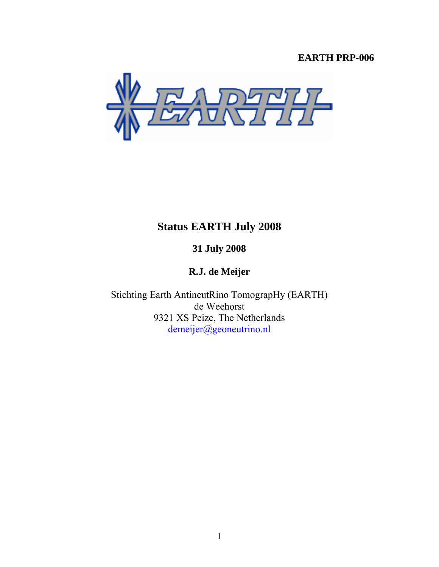# **EARTH PRP-006**



# **Status EARTH July 2008**

**31 July 2008** 

**R.J. de Meijer** 

Stichting Earth AntineutRino TomograpHy (EARTH) de Weehorst 9321 XS Peize, The Netherlands demeijer@geoneutrino.nl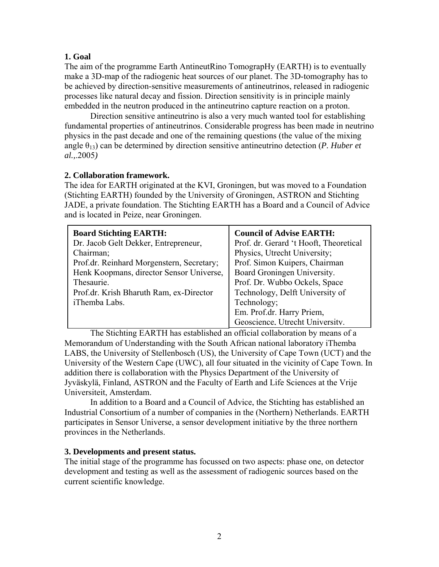#### **1. Goal**

The aim of the programme Earth AntineutRino TomograpHy (EARTH) is to eventually make a 3D-map of the radiogenic heat sources of our planet. The 3D-tomography has to be achieved by direction-sensitive measurements of antineutrinos, released in radiogenic processes like natural decay and fission. Direction sensitivity is in principle mainly embedded in the neutron produced in the antineutrino capture reaction on a proton.

 Direction sensitive antineutrino is also a very much wanted tool for establishing fundamental properties of antineutrinos. Considerable progress has been made in neutrino physics in the past decade and one of the remaining questions (the value of the mixing angle  $\theta_{13}$ ) can be determined by direction sensitive antineutrino detection (*P. Huber et al.,*.2005*)* 

#### **2. Collaboration framework.**

The idea for EARTH originated at the KVI, Groningen, but was moved to a Foundation (Stichting EARTH) founded by the University of Groningen, ASTRON and Stichting JADE, a private foundation. The Stichting EARTH has a Board and a Council of Advice and is located in Peize, near Groningen.

| <b>Board Stichting EARTH:</b>             | <b>Council of Advise EARTH:</b>        |
|-------------------------------------------|----------------------------------------|
| Dr. Jacob Gelt Dekker, Entrepreneur,      | Prof. dr. Gerard 't Hooft, Theoretical |
| Chairman;                                 | Physics, Utrecht University;           |
| Prof.dr. Reinhard Morgenstern, Secretary; | Prof. Simon Kuipers, Chairman          |
| Henk Koopmans, director Sensor Universe,  | Board Groningen University.            |
| Thesaurie.                                | Prof. Dr. Wubbo Ockels, Space          |
| Prof.dr. Krish Bharuth Ram, ex-Director   | Technology, Delft University of        |
| iThemba Labs.                             | Technology;                            |
|                                           | Em. Prof.dr. Harry Priem,              |
|                                           | Geoscience. Utrecht University.        |

The Stichting EARTH has established an official collaboration by means of a Memorandum of Understanding with the South African national laboratory iThemba LABS, the University of Stellenbosch (US), the University of Cape Town (UCT) and the University of the Western Cape (UWC), all four situated in the vicinity of Cape Town. In addition there is collaboration with the Physics Department of the University of Jyväskylä, Finland, ASTRON and the Faculty of Earth and Life Sciences at the Vrije Universiteit, Amsterdam.

 In addition to a Board and a Council of Advice, the Stichting has established an Industrial Consortium of a number of companies in the (Northern) Netherlands. EARTH participates in Sensor Universe, a sensor development initiative by the three northern provinces in the Netherlands.

#### **3. Developments and present status.**

The initial stage of the programme has focussed on two aspects: phase one, on detector development and testing as well as the assessment of radiogenic sources based on the current scientific knowledge.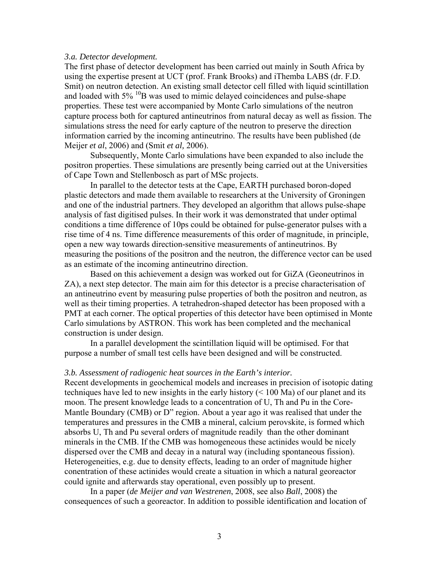#### *3.a. Detector development.*

The first phase of detector development has been carried out mainly in South Africa by using the expertise present at UCT (prof. Frank Brooks) and iThemba LABS (dr. F.D. Smit) on neutron detection. An existing small detector cell filled with liquid scintillation and loaded with  $5\%$  <sup>10</sup>B was used to mimic delayed coincidences and pulse-shape properties. These test were accompanied by Monte Carlo simulations of the neutron capture process both for captured antineutrinos from natural decay as well as fission. The simulations stress the need for early capture of the neutron to preserve the direction information carried by the incoming antineutrino. The results have been published (de Meijer *et al*, 2006) and (Smit *et al,* 2006).

 Subsequently, Monte Carlo simulations have been expanded to also include the positron properties. These simulations are presently being carried out at the Universities of Cape Town and Stellenbosch as part of MSc projects.

 In parallel to the detector tests at the Cape, EARTH purchased boron-doped plastic detectors and made them available to researchers at the University of Groningen and one of the industrial partners. They developed an algorithm that allows pulse-shape analysis of fast digitised pulses. In their work it was demonstrated that under optimal conditions a time difference of 10ps could be obtained for pulse-generator pulses with a rise time of 4 ns. Time difference measurements of this order of magnitude, in principle, open a new way towards direction-sensitive measurements of antineutrinos. By measuring the positions of the positron and the neutron, the difference vector can be used as an estimate of the incoming antineutrino direction.

 Based on this achievement a design was worked out for GiZA (Geoneutrinos in ZA), a next step detector. The main aim for this detector is a precise characterisation of an antineutrino event by measuring pulse properties of both the positron and neutron, as well as their timing properties. A tetrahedron-shaped detector has been proposed with a PMT at each corner. The optical properties of this detector have been optimised in Monte Carlo simulations by ASTRON. This work has been completed and the mechanical construction is under design.

 In a parallel development the scintillation liquid will be optimised. For that purpose a number of small test cells have been designed and will be constructed.

#### *3.b. Assessment of radiogenic heat sources in the Earth's interior.*

Recent developments in geochemical models and increases in precision of isotopic dating techniques have led to new insights in the early history (< 100 Ma) of our planet and its moon. The present knowledge leads to a concentration of U, Th and Pu in the Core-Mantle Boundary (CMB) or D" region. About a year ago it was realised that under the temperatures and pressures in the CMB a mineral, calcium perovskite, is formed which absorbs U, Th and Pu several orders of magnitude readily than the other dominant minerals in the CMB. If the CMB was homogeneous these actinides would be nicely dispersed over the CMB and decay in a natural way (including spontaneous fission). Heterogeneities, e.g. due to density effects, leading to an order of magnitude higher conentration of these actinides would create a situation in which a natural georeactor could ignite and afterwards stay operational, even possibly up to present.

 In a paper (*de Meijer and van Westrenen*, 2008, see also *Ball*, 2008) the consequences of such a georeactor. In addition to possible identification and location of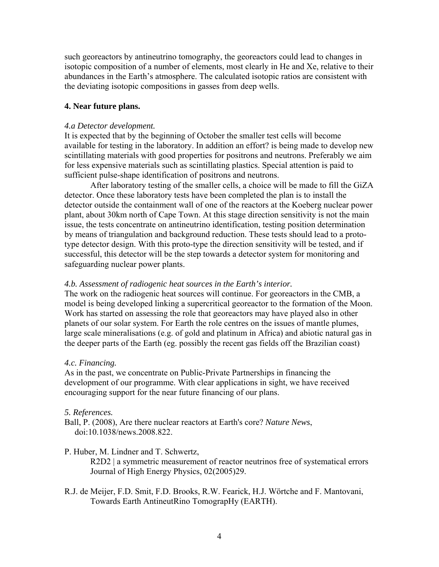such georeactors by antineutrino tomography, the georeactors could lead to changes in isotopic composition of a number of elements, most clearly in He and Xe, relative to their abundances in the Earth's atmosphere. The calculated isotopic ratios are consistent with the deviating isotopic compositions in gasses from deep wells.

#### **4. Near future plans.**

#### *4.a Detector development.*

It is expected that by the beginning of October the smaller test cells will become available for testing in the laboratory. In addition an effort? is being made to develop new scintillating materials with good properties for positrons and neutrons. Preferably we aim for less expensive materials such as scintillating plastics. Special attention is paid to sufficient pulse-shape identification of positrons and neutrons.

 After laboratory testing of the smaller cells, a choice will be made to fill the GiZA detector. Once these laboratory tests have been completed the plan is to install the detector outside the containment wall of one of the reactors at the Koeberg nuclear power plant, about 30km north of Cape Town. At this stage direction sensitivity is not the main issue, the tests concentrate on antineutrino identification, testing position determination by means of triangulation and background reduction. These tests should lead to a prototype detector design. With this proto-type the direction sensitivity will be tested, and if successful, this detector will be the step towards a detector system for monitoring and safeguarding nuclear power plants.

#### *4.b. Assessment of radiogenic heat sources in the Earth's interior.*

The work on the radiogenic heat sources will continue. For georeactors in the CMB, a model is being developed linking a supercritical georeactor to the formation of the Moon. Work has started on assessing the role that georeactors may have played also in other planets of our solar system. For Earth the role centres on the issues of mantle plumes, large scale mineralisations (e.g. of gold and platinum in Africa) and abiotic natural gas in the deeper parts of the Earth (eg. possibly the recent gas fields off the Brazilian coast)

#### *4.c. Financing.*

As in the past, we concentrate on Public-Private Partnerships in financing the development of our programme. With clear applications in sight, we have received encouraging support for the near future financing of our plans.

## *5. References.*

Ball, P. (2008), Are there nuclear reactors at Earth's core? *Nature News*, doi:10.1038/news.2008.822.

## P. Huber, M. Lindner and T. Schwertz,

R2D2 | a symmetric measurement of reactor neutrinos free of systematical errors Journal of High Energy Physics, 02(2005)29.

R.J. de Meijer, F.D. Smit, F.D. Brooks, R.W. Fearick, H.J. Wörtche and F. Mantovani, Towards Earth AntineutRino TomograpHy (EARTH).